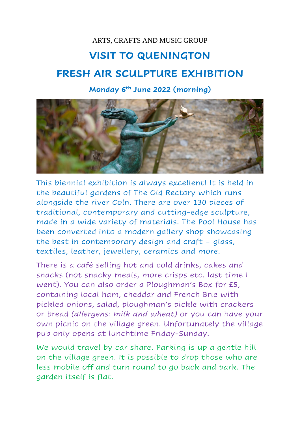## ARTS, CRAFTS AND MUSIC GROUP

## **VISIT TO QUENINGTON**

## **FRESH AIR SCULPTURE EXHIBITION**

## **Monday 6th June 2022 (morning)**



This biennial exhibition is always excellent! It is held in the beautiful gardens of The Old Rectory which runs alongside the river Coln. There are over 130 pieces of traditional, contemporary and cutting-edge sculpture, made in a wide variety of materials. The Pool House has been converted into a modern gallery shop showcasing the best in contemporary design and craft – glass, textiles, leather, jewellery, ceramics and more.

There is a café selling hot and cold drinks, cakes and snacks (not snacky meals, more crisps etc. last time I went). You can also order a Ploughman's Box for £5, containing local ham, cheddar and French Brie with pickled onions, salad, ploughman's pickle with crackers or bread *(allergens: milk and wheat)* or you can have your own picnic on the village green. Unfortunately the village pub only opens at lunchtime Friday-Sunday.

We would travel by car share. Parking is up a gentle hill on the village green. It is possible to drop those who are less mobile off and turn round to go back and park. The garden itself is flat.